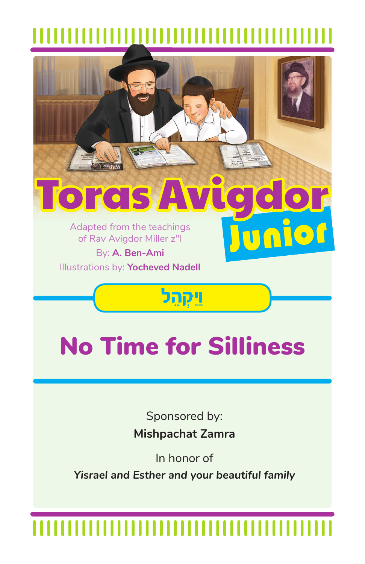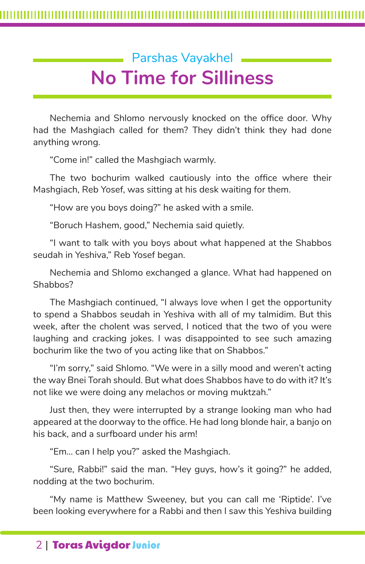## Parshas Vayakhel **No Time for Silliness**

Nechemia and Shlomo nervously knocked on the office door. Why had the Mashgiach called for them? They didn't think they had done anything wrong.

"Come in!" called the Mashgiach warmly.

The two bochurim walked cautiously into the office where their Mashgiach, Reb Yosef, was sitting at his desk waiting for them.

"How are you boys doing?" he asked with a smile.

"Boruch Hashem, good," Nechemia said quietly.

"I want to talk with you boys about what happened at the Shabbos seudah in Yeshiva," Reb Yosef began.

Nechemia and Shlomo exchanged a glance. What had happened on Shabbos?

The Mashgiach continued, "I always love when I get the opportunity to spend a Shabbos seudah in Yeshiva with all of my talmidim. But this week, after the cholent was served, I noticed that the two of you were laughing and cracking jokes. I was disappointed to see such amazing bochurim like the two of you acting like that on Shabbos."

"I'm sorry," said Shlomo. "We were in a silly mood and weren't acting the way Bnei Torah should. But what does Shabbos have to do with it? It's not like we were doing any melachos or moving muktzah."

Just then, they were interrupted by a strange looking man who had appeared at the doorway to the office. He had long blonde hair, a banjo on his back, and a surfboard under his arm!

"Em… can I help you?" asked the Mashgiach.

"Sure, Rabbi!" said the man. "Hey guys, how's it going?" he added, nodding at the two bochurim.

"My name is Matthew Sweeney, but you can call me 'Riptide'. I've been looking everywhere for a Rabbi and then I saw this Yeshiva building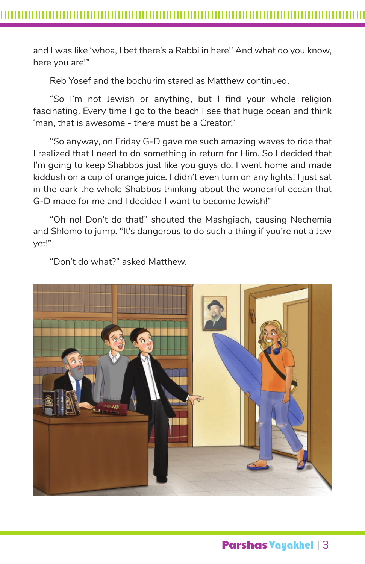and I was like 'whoa, I bet there's a Rabbi in here!' And what do you know, here you are!"

Reb Yosef and the bochurim stared as Matthew continued.

"So I'm not Jewish or anything, but I find your whole religion fascinating. Every time I go to the beach I see that huge ocean and think 'man, that is awesome - there must be a Creator!'

"So anyway, on Friday G-D gave me such amazing waves to ride that I realized that I need to do something in return for Him. So I decided that I'm going to keep Shabbos just like you guys do. I went home and made kiddush on a cup of orange juice. I didn't even turn on any lights! I just sat in the dark the whole Shabbos thinking about the wonderful ocean that G-D made for me and I decided I want to become Jewish!"

"Oh no! Don't do that!" shouted the Mashgiach, causing Nechemia and Shlomo to jump. "It's dangerous to do such a thing if you're not a Jew yet!"

"Don't do what?" asked Matthew.